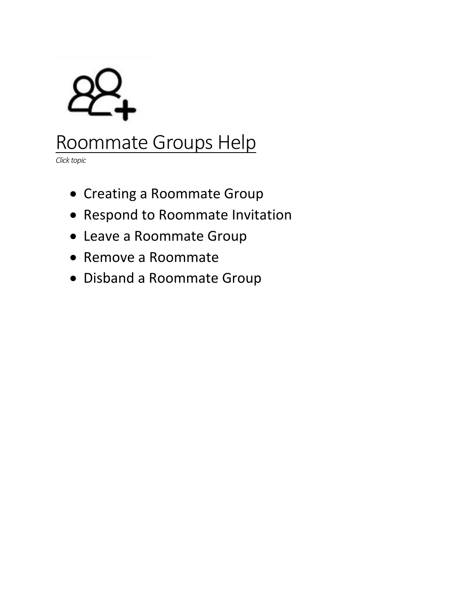

# Roommate Groups Help

*Click topic*

- [Creating a Roommate Group](#page-1-0)
- [Respond to Roommate Invitation](#page-6-0)
- [Leave a Roommate Group](#page-7-0)
- [Remove a Roommate](#page-8-0)
- [Disband a Roommate Group](#page-8-0)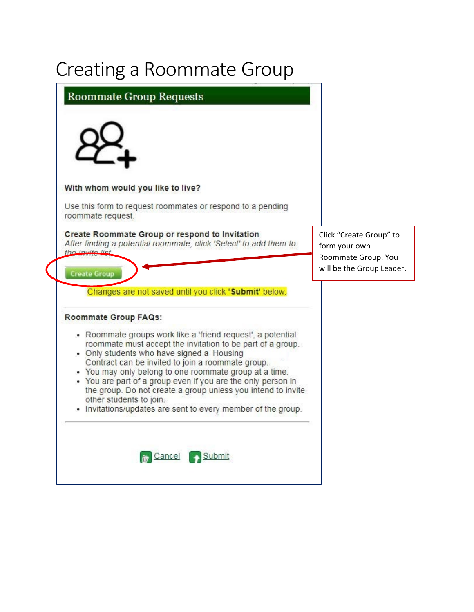# <span id="page-1-0"></span>Creating a Roommate Group

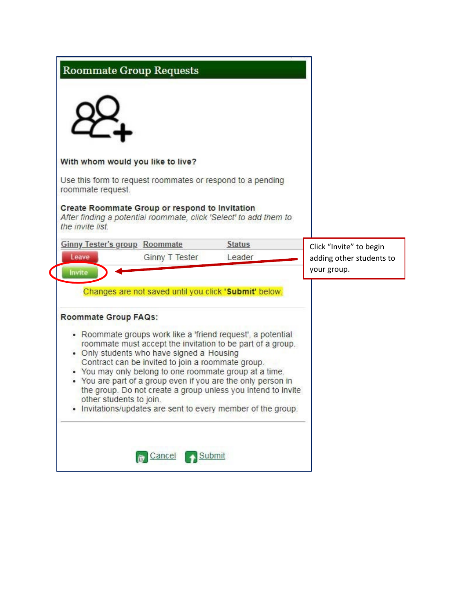|                   | <b>Roommate Group Requests</b>                                                                                      |               |                          |  |
|-------------------|---------------------------------------------------------------------------------------------------------------------|---------------|--------------------------|--|
|                   |                                                                                                                     |               |                          |  |
|                   | With whom would you like to live?                                                                                   |               |                          |  |
| roommate request. | Use this form to request roommates or respond to a pending                                                          |               |                          |  |
| the invite list.  | Create Roommate Group or respond to Invitation<br>After finding a potential roommate, click 'Select' to add them to |               |                          |  |
|                   | <b>Ginny Tester's group Roommate</b>                                                                                | <b>Status</b> | Click "Invite" to begin  |  |
| Leave             | <b>Ginny T Tester</b>                                                                                               | Leader        | adding other students to |  |
| Invite            |                                                                                                                     |               | your group.              |  |
|                   | Changes are not saved until you click 'Submit' below.<br><b>Roommate Group FAQs:</b>                                |               |                          |  |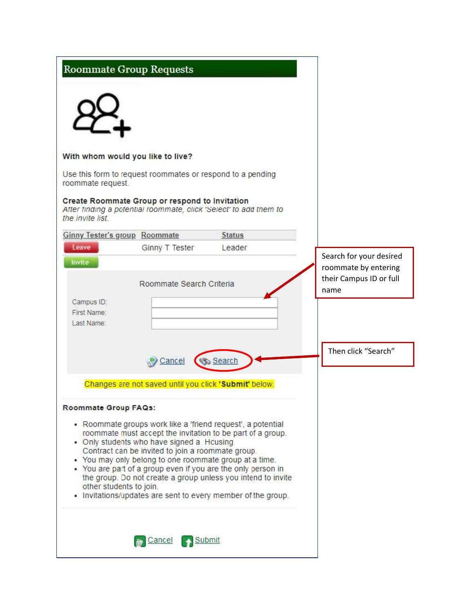| <b>Roommate Group Requests</b>                                                  |                                                                                                |                                                                                                                                                                                                                                                                                                                                                                                     |                                                                                    |
|---------------------------------------------------------------------------------|------------------------------------------------------------------------------------------------|-------------------------------------------------------------------------------------------------------------------------------------------------------------------------------------------------------------------------------------------------------------------------------------------------------------------------------------------------------------------------------------|------------------------------------------------------------------------------------|
|                                                                                 |                                                                                                |                                                                                                                                                                                                                                                                                                                                                                                     |                                                                                    |
| With whom would you like to live?                                               |                                                                                                |                                                                                                                                                                                                                                                                                                                                                                                     |                                                                                    |
| Use this form to request roommates or respond to a pending<br>roommate request. |                                                                                                |                                                                                                                                                                                                                                                                                                                                                                                     |                                                                                    |
| Create Roommate Group or respond to Invitation<br>the invite list               |                                                                                                | After finding a potential roommate, click 'Select' to add them to                                                                                                                                                                                                                                                                                                                   |                                                                                    |
| <b>Ginny Tester's group Roommate</b>                                            |                                                                                                | <b>Status</b>                                                                                                                                                                                                                                                                                                                                                                       |                                                                                    |
| Leave<br>Invite                                                                 | <b>Ginny T Tester</b><br>Roommate Search Criteria                                              | Leader                                                                                                                                                                                                                                                                                                                                                                              | Search for your desired<br>roommate by entering<br>their Campus ID or full<br>name |
| Campus ID:<br>First Name:<br>Last Name:                                         |                                                                                                |                                                                                                                                                                                                                                                                                                                                                                                     | Then click "Search"                                                                |
|                                                                                 | Cancel                                                                                         | Search                                                                                                                                                                                                                                                                                                                                                                              |                                                                                    |
|                                                                                 | Changes are not saved until you click 'Submit' below.                                          |                                                                                                                                                                                                                                                                                                                                                                                     |                                                                                    |
| Roommate Group FAQs:<br>other students to join.                                 | • Only students who have signed a Housing<br>Contract can be invited to join a roommate group. | • Roommate groups work like a 'friend request', a potential<br>roommate must accept the invitation to be part of a group.<br>• You may only belong to one roommate group at a time.<br>• You are part of a group even if you are the only person in<br>the group. Do not create a group unless you intend to invite<br>. Invitations/updates are sent to every member of the group. |                                                                                    |
|                                                                                 | Cancel<br>Submit                                                                               |                                                                                                                                                                                                                                                                                                                                                                                     |                                                                                    |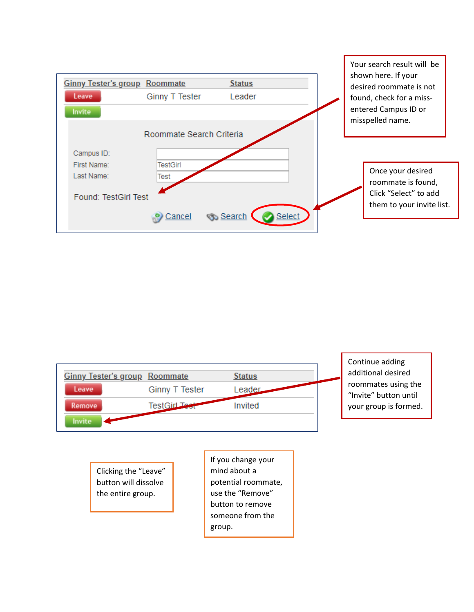



Clicking the "Leave" button will dissolve the entire group.

If you change your mind about a potential roommate, use the "Remove" button to remove someone from the group.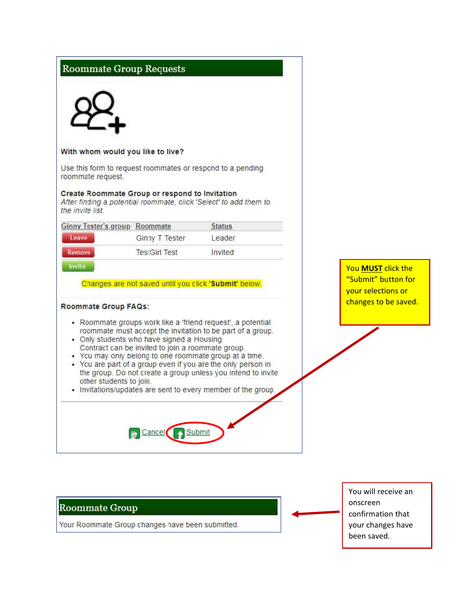|                                                 | <b>Roommate Group Requests</b>                                                                                                                                                                                                                                                                                                                        |                                                                                                                              |                                                      |
|-------------------------------------------------|-------------------------------------------------------------------------------------------------------------------------------------------------------------------------------------------------------------------------------------------------------------------------------------------------------------------------------------------------------|------------------------------------------------------------------------------------------------------------------------------|------------------------------------------------------|
|                                                 | With whom would you like to live?                                                                                                                                                                                                                                                                                                                     |                                                                                                                              |                                                      |
| roommate request.                               | Use this form to request roommates or respond to a pending                                                                                                                                                                                                                                                                                            |                                                                                                                              |                                                      |
| the invite list                                 | Create Roommate Group or respond to Invitation<br>After finding a potential roommate, click 'Select' to add them to                                                                                                                                                                                                                                   |                                                                                                                              |                                                      |
| <b>Ginny Tester's group Roommate</b>            |                                                                                                                                                                                                                                                                                                                                                       | <b>Status</b>                                                                                                                |                                                      |
| Leave                                           | Ginny T Tester                                                                                                                                                                                                                                                                                                                                        | Leader                                                                                                                       |                                                      |
| Remove                                          | <b>TestGirl Test</b>                                                                                                                                                                                                                                                                                                                                  | Invited                                                                                                                      |                                                      |
| Roommate Group FAQs:<br>other students to join. | • Roommate groups work like a 'friend request', a potential<br>roommate must accept the invitation to be part of a group.<br>• Only students who have signed a Housing<br>Contract can be invited to join a roommate group.<br>. You may only belong to one roommate group at a time.<br>• You are part of a group even if you are the only person in | the group. Do not create a group unless you intend to invite<br>• Invitations/updates are sent to every member of the group. | your selections or<br>changes to be saved.           |
| <b>Roommate Group</b>                           | <b>M</b> Cancel Submit                                                                                                                                                                                                                                                                                                                                |                                                                                                                              | You will receive an<br>onscreen<br>confirmation that |
|                                                 | Your Roommate Group changes have been submitted.                                                                                                                                                                                                                                                                                                      |                                                                                                                              | your changes have<br>been saved.                     |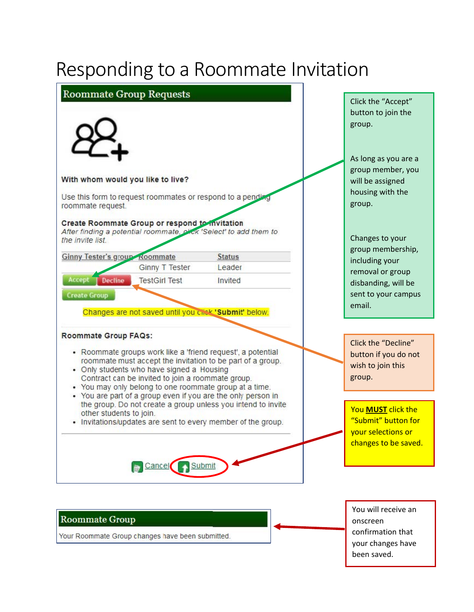# <span id="page-6-0"></span>Responding to a Roommate Invitation



#### **Roommate Group**

Your Roommate Group changes have been submitted.

You will receive an onscreen confirmation that your changes have been saved.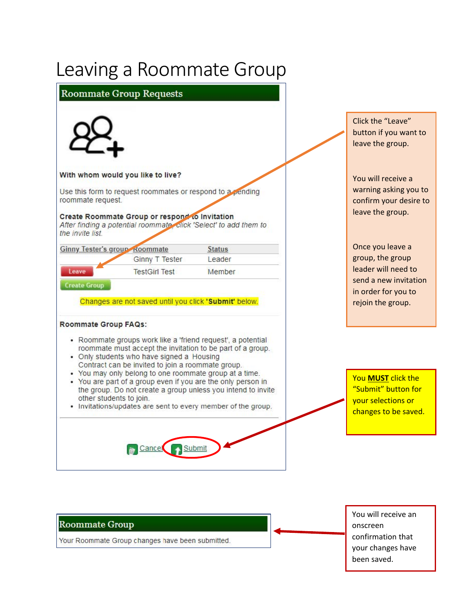### <span id="page-7-0"></span>Leaving a Roommate Group



You will receive an onscreen confirmation that your changes have been saved.

### **Roommate Group**

Your Roommate Group changes have been submitted.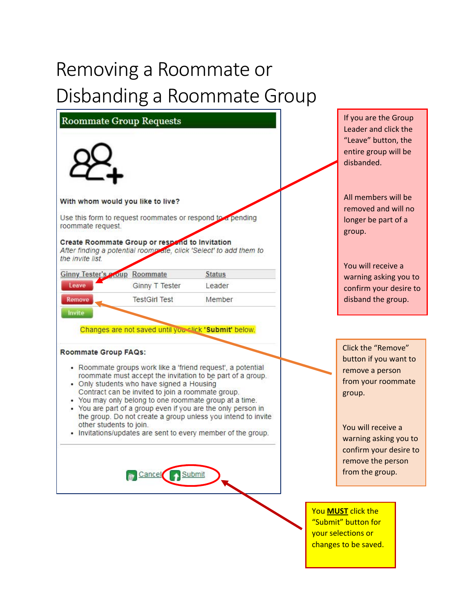# <span id="page-8-0"></span>Removing a Roommate or Disbanding a Roommate Group